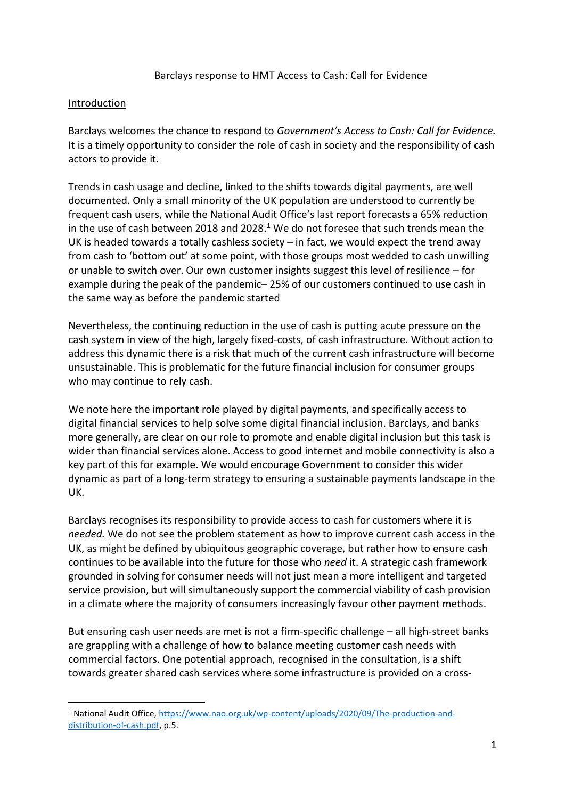#### Barclays response to HMT Access to Cash: Call for Evidence

### Introduction

-

Barclays welcomes the chance to respond to *Government's Access to Cash: Call for Evidence.* It is a timely opportunity to consider the role of cash in society and the responsibility of cash actors to provide it.

Trends in cash usage and decline, linked to the shifts towards digital payments, are well documented. Only a small minority of the UK population are understood to currently be frequent cash users, while the National Audit Office's last report forecasts a 65% reduction in the use of cash between 2018 and 2028.<sup>1</sup> We do not foresee that such trends mean the UK is headed towards a totally cashless society  $-$  in fact, we would expect the trend away from cash to 'bottom out' at some point, with those groups most wedded to cash unwilling or unable to switch over. Our own customer insights suggest this level of resilience – for example during the peak of the pandemic– 25% of our customers continued to use cash in the same way as before the pandemic started

Nevertheless, the continuing reduction in the use of cash is putting acute pressure on the cash system in view of the high, largely fixed-costs, of cash infrastructure. Without action to address this dynamic there is a risk that much of the current cash infrastructure will become unsustainable. This is problematic for the future financial inclusion for consumer groups who may continue to rely cash.

We note here the important role played by digital payments, and specifically access to digital financial services to help solve some digital financial inclusion. Barclays, and banks more generally, are clear on our role to promote and enable digital inclusion but this task is wider than financial services alone. Access to good internet and mobile connectivity is also a key part of this for example. We would encourage Government to consider this wider dynamic as part of a long-term strategy to ensuring a sustainable payments landscape in the UK.

Barclays recognises its responsibility to provide access to cash for customers where it is *needed.* We do not see the problem statement as how to improve current cash access in the UK, as might be defined by ubiquitous geographic coverage, but rather how to ensure cash continues to be available into the future for those who *need* it. A strategic cash framework grounded in solving for consumer needs will not just mean a more intelligent and targeted service provision, but will simultaneously support the commercial viability of cash provision in a climate where the majority of consumers increasingly favour other payment methods.

But ensuring cash user needs are met is not a firm-specific challenge – all high-street banks are grappling with a challenge of how to balance meeting customer cash needs with commercial factors. One potential approach, recognised in the consultation, is a shift towards greater shared cash services where some infrastructure is provided on a cross-

<sup>1</sup> National Audit Office[, https://www.nao.org.uk/wp-content/uploads/2020/09/The-production-and](https://www.nao.org.uk/wp-content/uploads/2020/09/The-production-and-distribution-of-cash.pdf)[distribution-of-cash.pdf,](https://www.nao.org.uk/wp-content/uploads/2020/09/The-production-and-distribution-of-cash.pdf) p.5.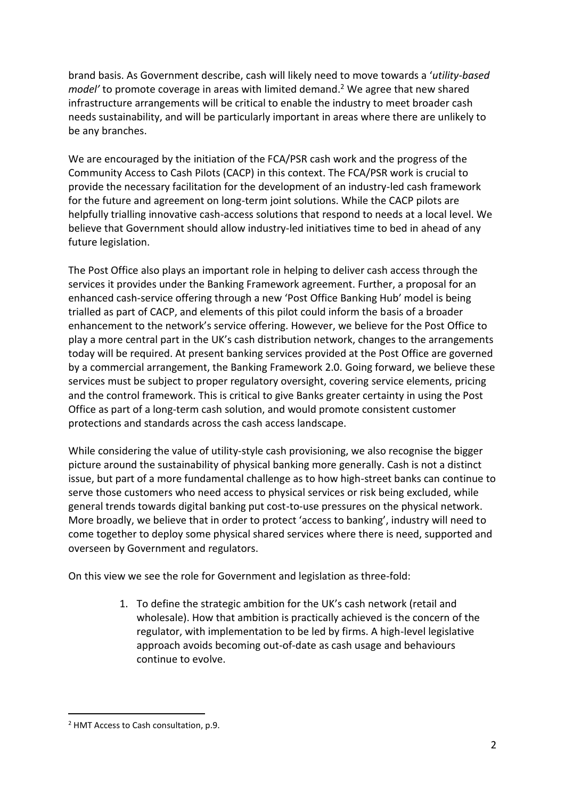brand basis. As Government describe, cash will likely need to move towards a '*utility-based model'* to promote coverage in areas with limited demand. <sup>2</sup> We agree that new shared infrastructure arrangements will be critical to enable the industry to meet broader cash needs sustainability, and will be particularly important in areas where there are unlikely to be any branches.

We are encouraged by the initiation of the FCA/PSR cash work and the progress of the Community Access to Cash Pilots (CACP) in this context. The FCA/PSR work is crucial to provide the necessary facilitation for the development of an industry-led cash framework for the future and agreement on long-term joint solutions. While the CACP pilots are helpfully trialling innovative cash-access solutions that respond to needs at a local level. We believe that Government should allow industry-led initiatives time to bed in ahead of any future legislation.

The Post Office also plays an important role in helping to deliver cash access through the services it provides under the Banking Framework agreement. Further, a proposal for an enhanced cash-service offering through a new 'Post Office Banking Hub' model is being trialled as part of CACP, and elements of this pilot could inform the basis of a broader enhancement to the network's service offering. However, we believe for the Post Office to play a more central part in the UK's cash distribution network, changes to the arrangements today will be required. At present banking services provided at the Post Office are governed by a commercial arrangement, the Banking Framework 2.0. Going forward, we believe these services must be subject to proper regulatory oversight, covering service elements, pricing and the control framework. This is critical to give Banks greater certainty in using the Post Office as part of a long-term cash solution, and would promote consistent customer protections and standards across the cash access landscape.

While considering the value of utility-style cash provisioning, we also recognise the bigger picture around the sustainability of physical banking more generally. Cash is not a distinct issue, but part of a more fundamental challenge as to how high-street banks can continue to serve those customers who need access to physical services or risk being excluded, while general trends towards digital banking put cost-to-use pressures on the physical network. More broadly, we believe that in order to protect 'access to banking', industry will need to come together to deploy some physical shared services where there is need, supported and overseen by Government and regulators.

On this view we see the role for Government and legislation as three-fold:

1. To define the strategic ambition for the UK's cash network (retail and wholesale). How that ambition is practically achieved is the concern of the regulator, with implementation to be led by firms. A high-level legislative approach avoids becoming out-of-date as cash usage and behaviours continue to evolve.

1

<sup>2</sup> HMT Access to Cash consultation, p.9.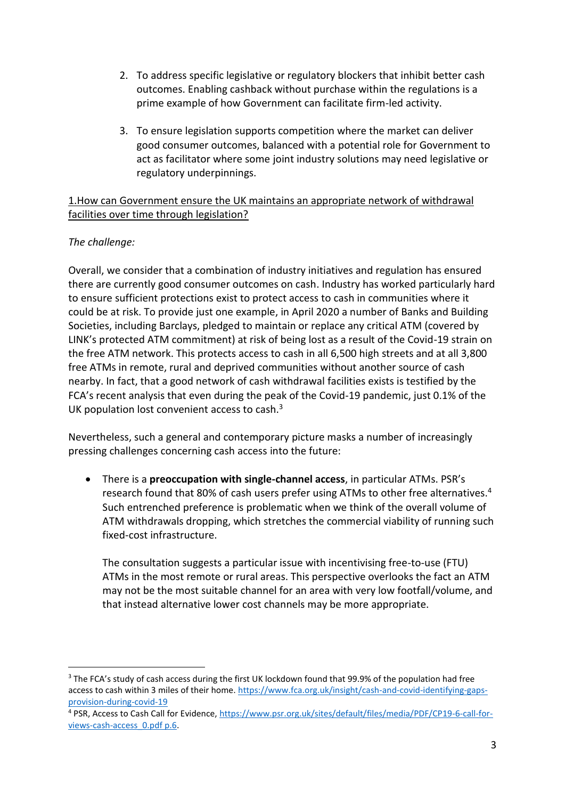- 2. To address specific legislative or regulatory blockers that inhibit better cash outcomes. Enabling cashback without purchase within the regulations is a prime example of how Government can facilitate firm-led activity.
- 3. To ensure legislation supports competition where the market can deliver good consumer outcomes, balanced with a potential role for Government to act as facilitator where some joint industry solutions may need legislative or regulatory underpinnings.

1.How can Government ensure the UK maintains an appropriate network of withdrawal facilities over time through legislation?

# *The challenge:*

Overall, we consider that a combination of industry initiatives and regulation has ensured there are currently good consumer outcomes on cash. Industry has worked particularly hard to ensure sufficient protections exist to protect access to cash in communities where it could be at risk. To provide just one example, in April 2020 a number of Banks and Building Societies, including Barclays, pledged to maintain or replace any critical ATM (covered by LINK's protected ATM commitment) at risk of being lost as a result of the Covid-19 strain on the free ATM network. This protects access to cash in all 6,500 high streets and at all 3,800 free ATMs in remote, rural and deprived communities without another source of cash nearby. In fact, that a good network of cash withdrawal facilities exists is testified by the FCA's recent analysis that even during the peak of the Covid-19 pandemic, just 0.1% of the UK population lost convenient access to cash.<sup>3</sup>

Nevertheless, such a general and contemporary picture masks a number of increasingly pressing challenges concerning cash access into the future:

 There is a **preoccupation with single-channel access**, in particular ATMs. PSR's research found that 80% of cash users prefer using ATMs to other free alternatives.<sup>4</sup> Such entrenched preference is problematic when we think of the overall volume of ATM withdrawals dropping, which stretches the commercial viability of running such fixed-cost infrastructure.

The consultation suggests a particular issue with incentivising free-to-use (FTU) ATMs in the most remote or rural areas. This perspective overlooks the fact an ATM may not be the most suitable channel for an area with very low footfall/volume, and that instead alternative lower cost channels may be more appropriate.

<sup>-</sup><sup>3</sup> The FCA's study of cash access during the first UK lockdown found that 99.9% of the population had free access to cash within 3 miles of their home. [https://www.fca.org.uk/insight/cash-and-covid-identifying-gaps](https://www.fca.org.uk/insight/cash-and-covid-identifying-gaps-provision-during-covid-19)[provision-during-covid-19](https://www.fca.org.uk/insight/cash-and-covid-identifying-gaps-provision-during-covid-19)

<sup>4</sup> PSR, Access to Cash Call for Evidence, [https://www.psr.org.uk/sites/default/files/media/PDF/CP19-6-call-for](https://www.psr.org.uk/sites/default/files/media/PDF/CP19-6-call-for-views-cash-access_0.pdf%20p.6)[views-cash-access\\_0.pdf p.6.](https://www.psr.org.uk/sites/default/files/media/PDF/CP19-6-call-for-views-cash-access_0.pdf%20p.6)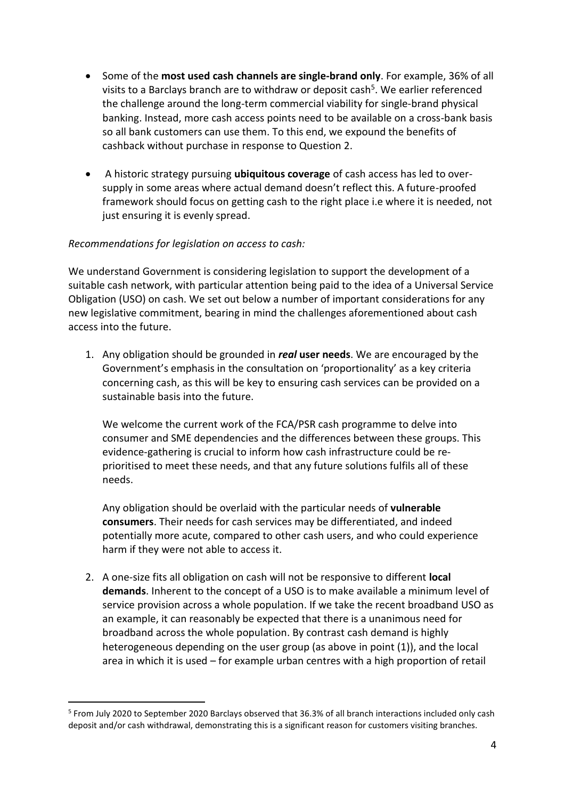- Some of the **most used cash channels are single-brand only**. For example, 36% of all visits to a Barclays branch are to withdraw or deposit cash<sup>5</sup>. We earlier referenced the challenge around the long-term commercial viability for single-brand physical banking. Instead, more cash access points need to be available on a cross-bank basis so all bank customers can use them. To this end, we expound the benefits of cashback without purchase in response to Question 2.
- A historic strategy pursuing **ubiquitous coverage** of cash access has led to oversupply in some areas where actual demand doesn't reflect this. A future-proofed framework should focus on getting cash to the right place i.e where it is needed, not just ensuring it is evenly spread.

### *Recommendations for legislation on access to cash:*

-

We understand Government is considering legislation to support the development of a suitable cash network, with particular attention being paid to the idea of a Universal Service Obligation (USO) on cash. We set out below a number of important considerations for any new legislative commitment, bearing in mind the challenges aforementioned about cash access into the future.

1. Any obligation should be grounded in *real* **user needs**. We are encouraged by the Government's emphasis in the consultation on 'proportionality' as a key criteria concerning cash, as this will be key to ensuring cash services can be provided on a sustainable basis into the future.

We welcome the current work of the FCA/PSR cash programme to delve into consumer and SME dependencies and the differences between these groups. This evidence-gathering is crucial to inform how cash infrastructure could be reprioritised to meet these needs, and that any future solutions fulfils all of these needs.

Any obligation should be overlaid with the particular needs of **vulnerable consumers**. Their needs for cash services may be differentiated, and indeed potentially more acute, compared to other cash users, and who could experience harm if they were not able to access it.

2. A one-size fits all obligation on cash will not be responsive to different **local demands**. Inherent to the concept of a USO is to make available a minimum level of service provision across a whole population. If we take the recent broadband USO as an example, it can reasonably be expected that there is a unanimous need for broadband across the whole population. By contrast cash demand is highly heterogeneous depending on the user group (as above in point (1)), and the local area in which it is used – for example urban centres with a high proportion of retail

<sup>&</sup>lt;sup>5</sup> From July 2020 to September 2020 Barclays observed that 36.3% of all branch interactions included only cash deposit and/or cash withdrawal, demonstrating this is a significant reason for customers visiting branches.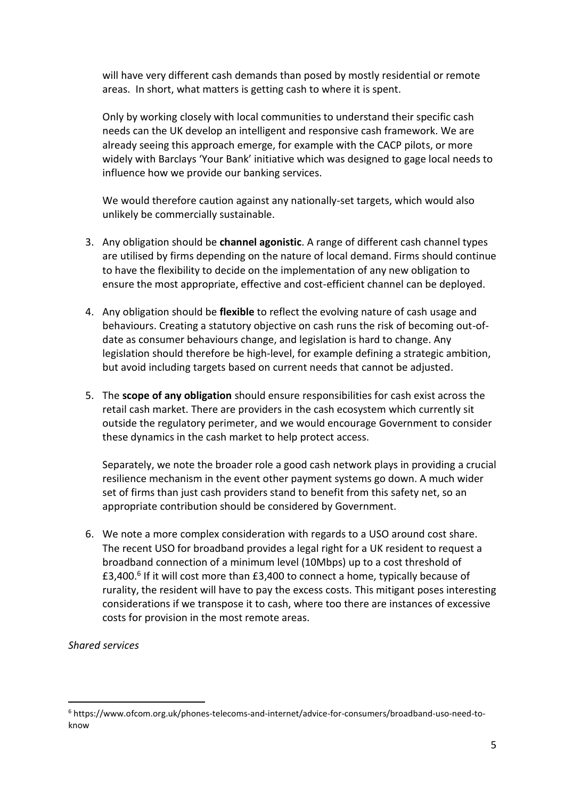will have very different cash demands than posed by mostly residential or remote areas. In short, what matters is getting cash to where it is spent.

Only by working closely with local communities to understand their specific cash needs can the UK develop an intelligent and responsive cash framework. We are already seeing this approach emerge, for example with the CACP pilots, or more widely with Barclays 'Your Bank' initiative which was designed to gage local needs to influence how we provide our banking services.

We would therefore caution against any nationally-set targets, which would also unlikely be commercially sustainable.

- 3. Any obligation should be **channel agonistic**. A range of different cash channel types are utilised by firms depending on the nature of local demand. Firms should continue to have the flexibility to decide on the implementation of any new obligation to ensure the most appropriate, effective and cost-efficient channel can be deployed.
- 4. Any obligation should be **flexible** to reflect the evolving nature of cash usage and behaviours. Creating a statutory objective on cash runs the risk of becoming out-ofdate as consumer behaviours change, and legislation is hard to change. Any legislation should therefore be high-level, for example defining a strategic ambition, but avoid including targets based on current needs that cannot be adjusted.
- 5. The **scope of any obligation** should ensure responsibilities for cash exist across the retail cash market. There are providers in the cash ecosystem which currently sit outside the regulatory perimeter, and we would encourage Government to consider these dynamics in the cash market to help protect access.

Separately, we note the broader role a good cash network plays in providing a crucial resilience mechanism in the event other payment systems go down. A much wider set of firms than just cash providers stand to benefit from this safety net, so an appropriate contribution should be considered by Government.

6. We note a more complex consideration with regards to a USO around cost share. The recent USO for broadband provides a legal right for a UK resident to request a broadband connection of a minimum level (10Mbps) up to a cost threshold of £3,400.<sup>6</sup> If it will cost more than £3,400 to connect a home, typically because of rurality, the resident will have to pay the excess costs. This mitigant poses interesting considerations if we transpose it to cash, where too there are instances of excessive costs for provision in the most remote areas.

*Shared services* 

-

<sup>6</sup> https://www.ofcom.org.uk/phones-telecoms-and-internet/advice-for-consumers/broadband-uso-need-toknow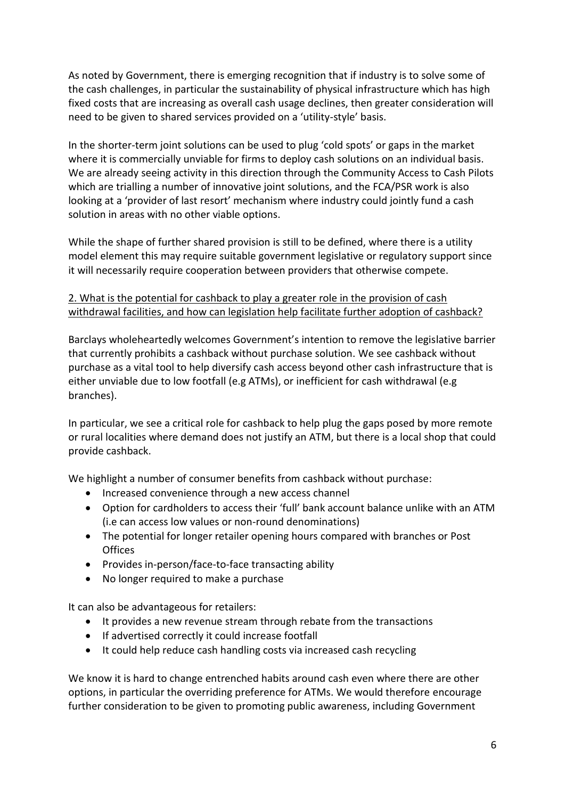As noted by Government, there is emerging recognition that if industry is to solve some of the cash challenges, in particular the sustainability of physical infrastructure which has high fixed costs that are increasing as overall cash usage declines, then greater consideration will need to be given to shared services provided on a 'utility-style' basis.

In the shorter-term joint solutions can be used to plug 'cold spots' or gaps in the market where it is commercially unviable for firms to deploy cash solutions on an individual basis. We are already seeing activity in this direction through the Community Access to Cash Pilots which are trialling a number of innovative joint solutions, and the FCA/PSR work is also looking at a 'provider of last resort' mechanism where industry could jointly fund a cash solution in areas with no other viable options.

While the shape of further shared provision is still to be defined, where there is a utility model element this may require suitable government legislative or regulatory support since it will necessarily require cooperation between providers that otherwise compete.

## 2. What is the potential for cashback to play a greater role in the provision of cash withdrawal facilities, and how can legislation help facilitate further adoption of cashback?

Barclays wholeheartedly welcomes Government's intention to remove the legislative barrier that currently prohibits a cashback without purchase solution. We see cashback without purchase as a vital tool to help diversify cash access beyond other cash infrastructure that is either unviable due to low footfall (e.g ATMs), or inefficient for cash withdrawal (e.g branches).

In particular, we see a critical role for cashback to help plug the gaps posed by more remote or rural localities where demand does not justify an ATM, but there is a local shop that could provide cashback.

We highlight a number of consumer benefits from cashback without purchase:

- Increased convenience through a new access channel
- Option for cardholders to access their 'full' bank account balance unlike with an ATM (i.e can access low values or non-round denominations)
- The potential for longer retailer opening hours compared with branches or Post **Offices**
- Provides in-person/face-to-face transacting ability
- No longer required to make a purchase

It can also be advantageous for retailers:

- It provides a new revenue stream through rebate from the transactions
- If advertised correctly it could increase footfall
- It could help reduce cash handling costs via increased cash recycling

We know it is hard to change entrenched habits around cash even where there are other options, in particular the overriding preference for ATMs. We would therefore encourage further consideration to be given to promoting public awareness, including Government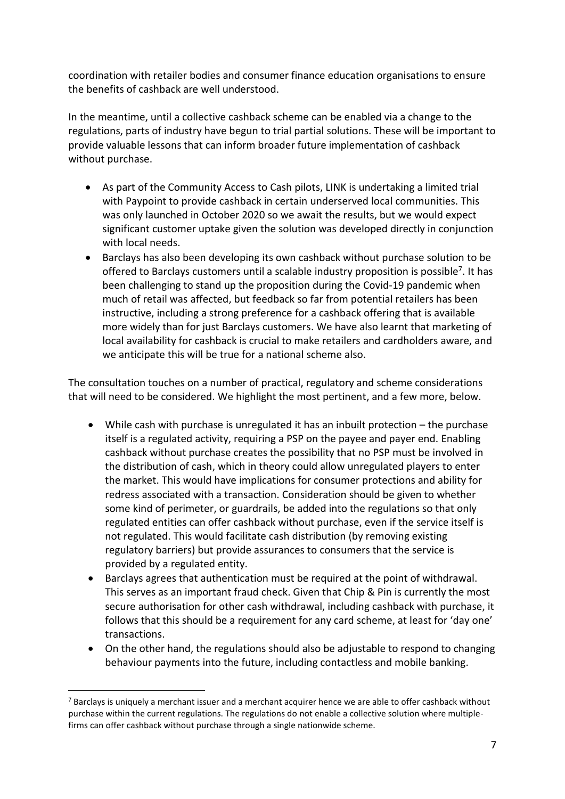coordination with retailer bodies and consumer finance education organisations to ensure the benefits of cashback are well understood.

In the meantime, until a collective cashback scheme can be enabled via a change to the regulations, parts of industry have begun to trial partial solutions. These will be important to provide valuable lessons that can inform broader future implementation of cashback without purchase.

- As part of the Community Access to Cash pilots, LINK is undertaking a limited trial with Paypoint to provide cashback in certain underserved local communities. This was only launched in October 2020 so we await the results, but we would expect significant customer uptake given the solution was developed directly in conjunction with local needs.
- Barclays has also been developing its own cashback without purchase solution to be offered to Barclays customers until a scalable industry proposition is possible<sup>7</sup>. It has been challenging to stand up the proposition during the Covid-19 pandemic when much of retail was affected, but feedback so far from potential retailers has been instructive, including a strong preference for a cashback offering that is available more widely than for just Barclays customers. We have also learnt that marketing of local availability for cashback is crucial to make retailers and cardholders aware, and we anticipate this will be true for a national scheme also.

The consultation touches on a number of practical, regulatory and scheme considerations that will need to be considered. We highlight the most pertinent, and a few more, below.

- While cash with purchase is unregulated it has an inbuilt protection the purchase itself is a regulated activity, requiring a PSP on the payee and payer end. Enabling cashback without purchase creates the possibility that no PSP must be involved in the distribution of cash, which in theory could allow unregulated players to enter the market. This would have implications for consumer protections and ability for redress associated with a transaction. Consideration should be given to whether some kind of perimeter, or guardrails, be added into the regulations so that only regulated entities can offer cashback without purchase, even if the service itself is not regulated. This would facilitate cash distribution (by removing existing regulatory barriers) but provide assurances to consumers that the service is provided by a regulated entity.
- Barclays agrees that authentication must be required at the point of withdrawal. This serves as an important fraud check. Given that Chip & Pin is currently the most secure authorisation for other cash withdrawal, including cashback with purchase, it follows that this should be a requirement for any card scheme, at least for 'day one' transactions.
- On the other hand, the regulations should also be adjustable to respond to changing behaviour payments into the future, including contactless and mobile banking.

1

 $^7$  Barclays is uniquely a merchant issuer and a merchant acquirer hence we are able to offer cashback without purchase within the current regulations. The regulations do not enable a collective solution where multiplefirms can offer cashback without purchase through a single nationwide scheme.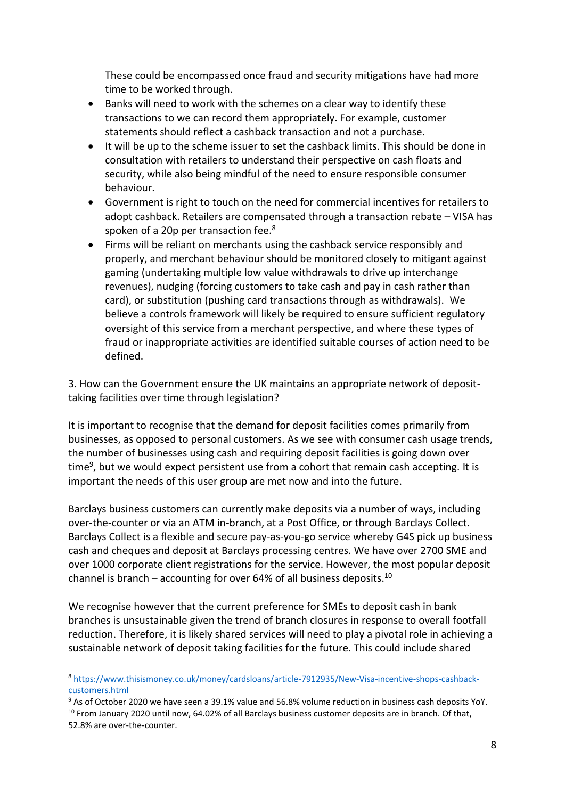These could be encompassed once fraud and security mitigations have had more time to be worked through.

- Banks will need to work with the schemes on a clear way to identify these transactions to we can record them appropriately. For example, customer statements should reflect a cashback transaction and not a purchase.
- It will be up to the scheme issuer to set the cashback limits. This should be done in consultation with retailers to understand their perspective on cash floats and security, while also being mindful of the need to ensure responsible consumer behaviour.
- Government is right to touch on the need for commercial incentives for retailers to adopt cashback. Retailers are compensated through a transaction rebate – VISA has spoken of a 20p per transaction fee.<sup>8</sup>
- Firms will be reliant on merchants using the cashback service responsibly and properly, and merchant behaviour should be monitored closely to mitigant against gaming (undertaking multiple low value withdrawals to drive up interchange revenues), nudging (forcing customers to take cash and pay in cash rather than card), or substitution (pushing card transactions through as withdrawals). We believe a controls framework will likely be required to ensure sufficient regulatory oversight of this service from a merchant perspective, and where these types of fraud or inappropriate activities are identified suitable courses of action need to be defined.

# 3. How can the Government ensure the UK maintains an appropriate network of deposittaking facilities over time through legislation?

It is important to recognise that the demand for deposit facilities comes primarily from businesses, as opposed to personal customers. As we see with consumer cash usage trends, the number of businesses using cash and requiring deposit facilities is going down over time<sup>9</sup>, but we would expect persistent use from a cohort that remain cash accepting. It is important the needs of this user group are met now and into the future.

Barclays business customers can currently make deposits via a number of ways, including over-the-counter or via an ATM in-branch, at a Post Office, or through Barclays Collect. Barclays Collect is a flexible and secure pay-as-you-go service whereby G4S pick up business cash and cheques and deposit at Barclays processing centres. We have over 2700 SME and over 1000 corporate client registrations for the service. However, the most popular deposit channel is branch – accounting for over 64% of all business deposits.<sup>10</sup>

We recognise however that the current preference for SMEs to deposit cash in bank branches is unsustainable given the trend of branch closures in response to overall footfall reduction. Therefore, it is likely shared services will need to play a pivotal role in achieving a sustainable network of deposit taking facilities for the future. This could include shared

-

<sup>8</sup> [https://www.thisismoney.co.uk/money/cardsloans/article-7912935/New-Visa-incentive-shops-cashback](https://www.thisismoney.co.uk/money/cardsloans/article-7912935/New-Visa-incentive-shops-cashback-customers.html)[customers.html](https://www.thisismoney.co.uk/money/cardsloans/article-7912935/New-Visa-incentive-shops-cashback-customers.html)

<sup>9</sup> As of October 2020 we have seen a 39.1% value and 56.8% volume reduction in business cash deposits YoY.  $10$  From January 2020 until now, 64.02% of all Barclays business customer deposits are in branch. Of that, 52.8% are over-the-counter.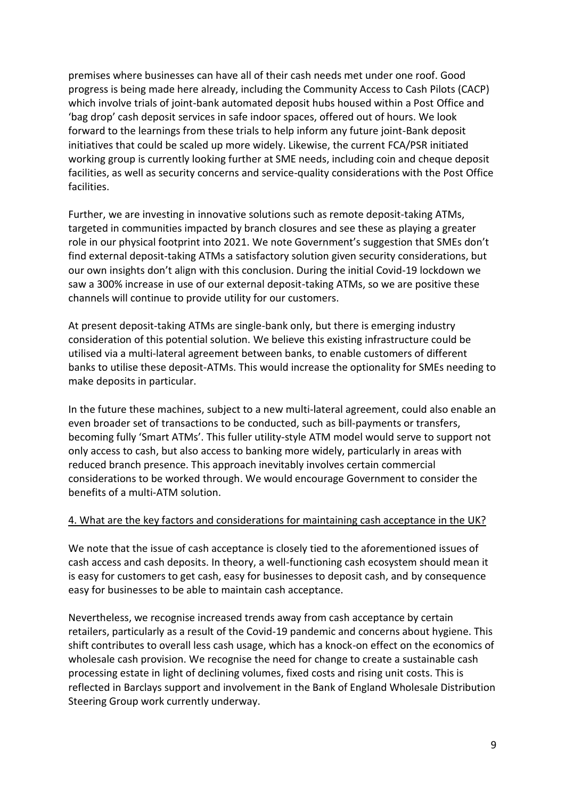premises where businesses can have all of their cash needs met under one roof. Good progress is being made here already, including the Community Access to Cash Pilots (CACP) which involve trials of joint-bank automated deposit hubs housed within a Post Office and 'bag drop' cash deposit services in safe indoor spaces, offered out of hours. We look forward to the learnings from these trials to help inform any future joint-Bank deposit initiatives that could be scaled up more widely. Likewise, the current FCA/PSR initiated working group is currently looking further at SME needs, including coin and cheque deposit facilities, as well as security concerns and service-quality considerations with the Post Office facilities.

Further, we are investing in innovative solutions such as remote deposit-taking ATMs, targeted in communities impacted by branch closures and see these as playing a greater role in our physical footprint into 2021. We note Government's suggestion that SMEs don't find external deposit-taking ATMs a satisfactory solution given security considerations, but our own insights don't align with this conclusion. During the initial Covid-19 lockdown we saw a 300% increase in use of our external deposit-taking ATMs, so we are positive these channels will continue to provide utility for our customers.

At present deposit-taking ATMs are single-bank only, but there is emerging industry consideration of this potential solution. We believe this existing infrastructure could be utilised via a multi-lateral agreement between banks, to enable customers of different banks to utilise these deposit-ATMs. This would increase the optionality for SMEs needing to make deposits in particular.

In the future these machines, subject to a new multi-lateral agreement, could also enable an even broader set of transactions to be conducted, such as bill-payments or transfers, becoming fully 'Smart ATMs'. This fuller utility-style ATM model would serve to support not only access to cash, but also access to banking more widely, particularly in areas with reduced branch presence. This approach inevitably involves certain commercial considerations to be worked through. We would encourage Government to consider the benefits of a multi-ATM solution.

### 4. What are the key factors and considerations for maintaining cash acceptance in the UK?

We note that the issue of cash acceptance is closely tied to the aforementioned issues of cash access and cash deposits. In theory, a well-functioning cash ecosystem should mean it is easy for customers to get cash, easy for businesses to deposit cash, and by consequence easy for businesses to be able to maintain cash acceptance.

Nevertheless, we recognise increased trends away from cash acceptance by certain retailers, particularly as a result of the Covid-19 pandemic and concerns about hygiene. This shift contributes to overall less cash usage, which has a knock-on effect on the economics of wholesale cash provision. We recognise the need for change to create a sustainable cash processing estate in light of declining volumes, fixed costs and rising unit costs. This is reflected in Barclays support and involvement in the Bank of England Wholesale Distribution Steering Group work currently underway.